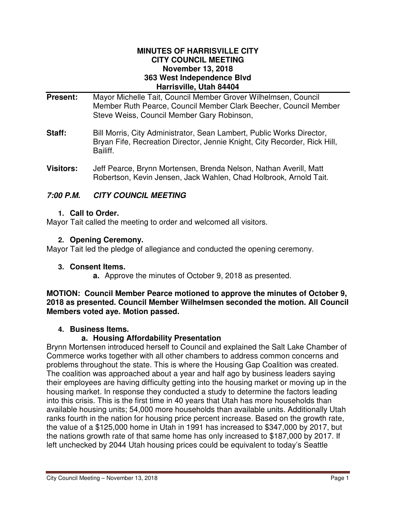#### **MINUTES OF HARRISVILLE CITY CITY COUNCIL MEETING November 13, 2018 363 West Independence Blvd Harrisville, Utah 84404**

- **Present:** Mayor Michelle Tait, Council Member Grover Wilhelmsen, Council Member Ruth Pearce, Council Member Clark Beecher, Council Member Steve Weiss, Council Member Gary Robinson,
- **Staff:** Bill Morris, City Administrator, Sean Lambert, Public Works Director, Bryan Fife, Recreation Director, Jennie Knight, City Recorder, Rick Hill, Bailiff.
- **Visitors:** Jeff Pearce, Brynn Mortensen, Brenda Nelson, Nathan Averill, Matt Robertson, Kevin Jensen, Jack Wahlen, Chad Holbrook, Arnold Tait.

# **7:00 P.M. CITY COUNCIL MEETING**

## **1. Call to Order.**

Mayor Tait called the meeting to order and welcomed all visitors.

## **2. Opening Ceremony.**

Mayor Tait led the pledge of allegiance and conducted the opening ceremony.

## **3. Consent Items.**

**a.** Approve the minutes of October 9, 2018 as presented.

**MOTION: Council Member Pearce motioned to approve the minutes of October 9, 2018 as presented. Council Member Wilhelmsen seconded the motion. All Council Members voted aye. Motion passed.** 

## **4. Business Items.**

# **a. Housing Affordability Presentation**

Brynn Mortensen introduced herself to Council and explained the Salt Lake Chamber of Commerce works together with all other chambers to address common concerns and problems throughout the state. This is where the Housing Gap Coalition was created. The coalition was approached about a year and half ago by business leaders saying their employees are having difficulty getting into the housing market or moving up in the housing market. In response they conducted a study to determine the factors leading into this crisis. This is the first time in 40 years that Utah has more households than available housing units; 54,000 more households than available units. Additionally Utah ranks fourth in the nation for housing price percent increase. Based on the growth rate, the value of a \$125,000 home in Utah in 1991 has increased to \$347,000 by 2017, but the nations growth rate of that same home has only increased to \$187,000 by 2017. If left unchecked by 2044 Utah housing prices could be equivalent to today's Seattle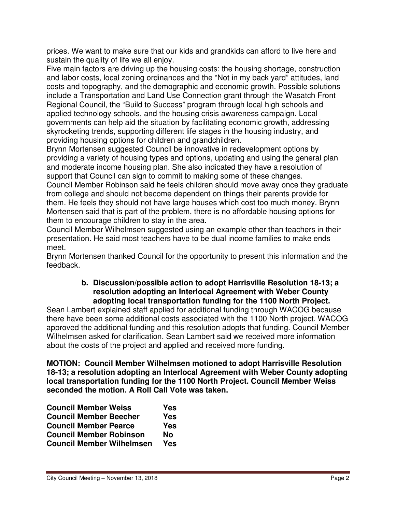prices. We want to make sure that our kids and grandkids can afford to live here and sustain the quality of life we all enjoy.

Five main factors are driving up the housing costs: the housing shortage, construction and labor costs, local zoning ordinances and the "Not in my back yard" attitudes, land costs and topography, and the demographic and economic growth. Possible solutions include a Transportation and Land Use Connection grant through the Wasatch Front Regional Council, the "Build to Success" program through local high schools and applied technology schools, and the housing crisis awareness campaign. Local governments can help aid the situation by facilitating economic growth, addressing skyrocketing trends, supporting different life stages in the housing industry, and providing housing options for children and grandchildren.

Brynn Mortensen suggested Council be innovative in redevelopment options by providing a variety of housing types and options, updating and using the general plan and moderate income housing plan. She also indicated they have a resolution of support that Council can sign to commit to making some of these changes.

Council Member Robinson said he feels children should move away once they graduate from college and should not become dependent on things their parents provide for them. He feels they should not have large houses which cost too much money. Brynn Mortensen said that is part of the problem, there is no affordable housing options for them to encourage children to stay in the area.

Council Member Wilhelmsen suggested using an example other than teachers in their presentation. He said most teachers have to be dual income families to make ends meet.

Brynn Mortensen thanked Council for the opportunity to present this information and the feedback.

#### **b. Discussion/possible action to adopt Harrisville Resolution 18-13; a resolution adopting an Interlocal Agreement with Weber County adopting local transportation funding for the 1100 North Project.**

Sean Lambert explained staff applied for additional funding through WACOG because there have been some additional costs associated with the 1100 North project. WACOG approved the additional funding and this resolution adopts that funding. Council Member Wilhelmsen asked for clarification. Sean Lambert said we received more information about the costs of the project and applied and received more funding.

**MOTION: Council Member Wilhelmsen motioned to adopt Harrisville Resolution 18-13; a resolution adopting an Interlocal Agreement with Weber County adopting local transportation funding for the 1100 North Project. Council Member Weiss seconded the motion. A Roll Call Vote was taken.** 

| <b>Council Member Weiss</b>      | Yes       |
|----------------------------------|-----------|
| <b>Council Member Beecher</b>    | Yes       |
| <b>Council Member Pearce</b>     | Yes       |
| <b>Council Member Robinson</b>   | <b>No</b> |
| <b>Council Member Wilhelmsen</b> | Yes       |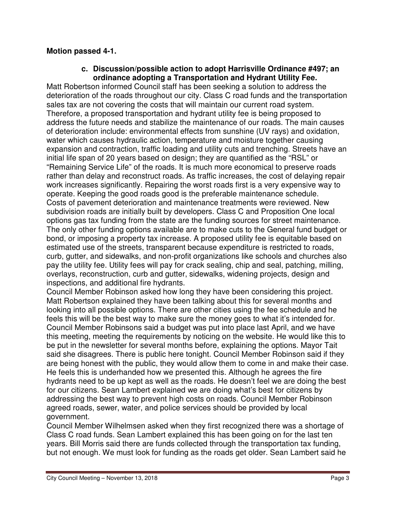## **Motion passed 4-1.**

#### **c. Discussion/possible action to adopt Harrisville Ordinance #497; an ordinance adopting a Transportation and Hydrant Utility Fee.**

Matt Robertson informed Council staff has been seeking a solution to address the deterioration of the roads throughout our city. Class C road funds and the transportation sales tax are not covering the costs that will maintain our current road system. Therefore, a proposed transportation and hydrant utility fee is being proposed to address the future needs and stabilize the maintenance of our roads. The main causes of deterioration include: environmental effects from sunshine (UV rays) and oxidation, water which causes hydraulic action, temperature and moisture together causing expansion and contraction, traffic loading and utility cuts and trenching. Streets have an initial life span of 20 years based on design; they are quantified as the "RSL" or "Remaining Service Life" of the roads. It is much more economical to preserve roads rather than delay and reconstruct roads. As traffic increases, the cost of delaying repair work increases significantly. Repairing the worst roads first is a very expensive way to operate. Keeping the good roads good is the preferable maintenance schedule. Costs of pavement deterioration and maintenance treatments were reviewed. New subdivision roads are initially built by developers. Class C and Proposition One local options gas tax funding from the state are the funding sources for street maintenance. The only other funding options available are to make cuts to the General fund budget or bond, or imposing a property tax increase. A proposed utility fee is equitable based on estimated use of the streets, transparent because expenditure is restricted to roads, curb, gutter, and sidewalks, and non-profit organizations like schools and churches also pay the utility fee. Utility fees will pay for crack sealing, chip and seal, patching, milling, overlays, reconstruction, curb and gutter, sidewalks, widening projects, design and inspections, and additional fire hydrants.

Council Member Robinson asked how long they have been considering this project. Matt Robertson explained they have been talking about this for several months and looking into all possible options. There are other cities using the fee schedule and he feels this will be the best way to make sure the money goes to what it's intended for. Council Member Robinsons said a budget was put into place last April, and we have this meeting, meeting the requirements by noticing on the website. He would like this to be put in the newsletter for several months before, explaining the options. Mayor Tait said she disagrees. There is public here tonight. Council Member Robinson said if they are being honest with the public, they would allow them to come in and make their case. He feels this is underhanded how we presented this. Although he agrees the fire hydrants need to be up kept as well as the roads. He doesn't feel we are doing the best for our citizens. Sean Lambert explained we are doing what's best for citizens by addressing the best way to prevent high costs on roads. Council Member Robinson agreed roads, sewer, water, and police services should be provided by local government.

Council Member Wilhelmsen asked when they first recognized there was a shortage of Class C road funds. Sean Lambert explained this has been going on for the last ten years. Bill Morris said there are funds collected through the transportation tax funding, but not enough. We must look for funding as the roads get older. Sean Lambert said he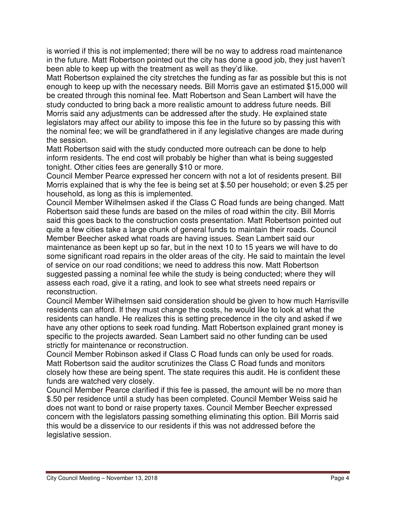is worried if this is not implemented; there will be no way to address road maintenance in the future. Matt Robertson pointed out the city has done a good job, they just haven't been able to keep up with the treatment as well as they'd like.

Matt Robertson explained the city stretches the funding as far as possible but this is not enough to keep up with the necessary needs. Bill Morris gave an estimated \$15,000 will be created through this nominal fee. Matt Robertson and Sean Lambert will have the study conducted to bring back a more realistic amount to address future needs. Bill Morris said any adjustments can be addressed after the study. He explained state legislators may affect our ability to impose this fee in the future so by passing this with the nominal fee; we will be grandfathered in if any legislative changes are made during the session.

Matt Robertson said with the study conducted more outreach can be done to help inform residents. The end cost will probably be higher than what is being suggested tonight. Other cities fees are generally \$10 or more.

Council Member Pearce expressed her concern with not a lot of residents present. Bill Morris explained that is why the fee is being set at \$.50 per household; or even \$.25 per household, as long as this is implemented.

Council Member Wilhelmsen asked if the Class C Road funds are being changed. Matt Robertson said these funds are based on the miles of road within the city. Bill Morris said this goes back to the construction costs presentation. Matt Robertson pointed out quite a few cities take a large chunk of general funds to maintain their roads. Council Member Beecher asked what roads are having issues. Sean Lambert said our maintenance as been kept up so far, but in the next 10 to 15 years we will have to do some significant road repairs in the older areas of the city. He said to maintain the level of service on our road conditions; we need to address this now. Matt Robertson suggested passing a nominal fee while the study is being conducted; where they will assess each road, give it a rating, and look to see what streets need repairs or reconstruction.

Council Member Wilhelmsen said consideration should be given to how much Harrisville residents can afford. If they must change the costs, he would like to look at what the residents can handle. He realizes this is setting precedence in the city and asked if we have any other options to seek road funding. Matt Robertson explained grant money is specific to the projects awarded. Sean Lambert said no other funding can be used strictly for maintenance or reconstruction.

Council Member Robinson asked if Class C Road funds can only be used for roads. Matt Robertson said the auditor scrutinizes the Class C Road funds and monitors closely how these are being spent. The state requires this audit. He is confident these funds are watched very closely.

Council Member Pearce clarified if this fee is passed, the amount will be no more than \$.50 per residence until a study has been completed. Council Member Weiss said he does not want to bond or raise property taxes. Council Member Beecher expressed concern with the legislators passing something eliminating this option. Bill Morris said this would be a disservice to our residents if this was not addressed before the legislative session.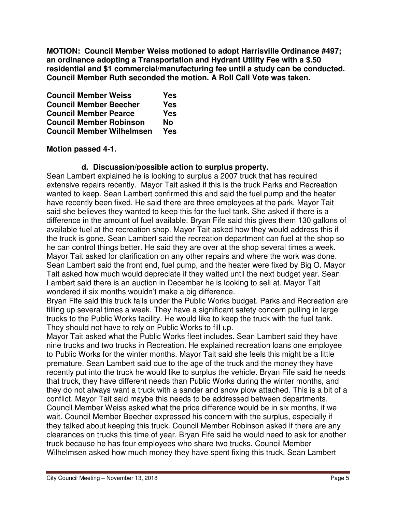**MOTION: Council Member Weiss motioned to adopt Harrisville Ordinance #497; an ordinance adopting a Transportation and Hydrant Utility Fee with a \$.50 residential and \$1 commercial/manufacturing fee until a study can be conducted. Council Member Ruth seconded the motion. A Roll Call Vote was taken.** 

| <b>Council Member Weiss</b>      | Yes |
|----------------------------------|-----|
| <b>Council Member Beecher</b>    | Yes |
| <b>Council Member Pearce</b>     | Yes |
| <b>Council Member Robinson</b>   | No  |
| <b>Council Member Wilhelmsen</b> | Yes |

## **Motion passed 4-1.**

### **d. Discussion/possible action to surplus property.**

Sean Lambert explained he is looking to surplus a 2007 truck that has required extensive repairs recently. Mayor Tait asked if this is the truck Parks and Recreation wanted to keep. Sean Lambert confirmed this and said the fuel pump and the heater have recently been fixed. He said there are three employees at the park. Mayor Tait said she believes they wanted to keep this for the fuel tank. She asked if there is a difference in the amount of fuel available. Bryan Fife said this gives them 130 gallons of available fuel at the recreation shop. Mayor Tait asked how they would address this if the truck is gone. Sean Lambert said the recreation department can fuel at the shop so he can control things better. He said they are over at the shop several times a week. Mayor Tait asked for clarification on any other repairs and where the work was done. Sean Lambert said the front end, fuel pump, and the heater were fixed by Big O. Mayor Tait asked how much would depreciate if they waited until the next budget year. Sean Lambert said there is an auction in December he is looking to sell at. Mayor Tait wondered if six months wouldn't make a big difference.

Bryan Fife said this truck falls under the Public Works budget. Parks and Recreation are filling up several times a week. They have a significant safety concern pulling in large trucks to the Public Works facility. He would like to keep the truck with the fuel tank. They should not have to rely on Public Works to fill up.

Mayor Tait asked what the Public Works fleet includes. Sean Lambert said they have nine trucks and two trucks in Recreation. He explained recreation loans one employee to Public Works for the winter months. Mayor Tait said she feels this might be a little premature. Sean Lambert said due to the age of the truck and the money they have recently put into the truck he would like to surplus the vehicle. Bryan Fife said he needs that truck, they have different needs than Public Works during the winter months, and they do not always want a truck with a sander and snow plow attached. This is a bit of a conflict. Mayor Tait said maybe this needs to be addressed between departments. Council Member Weiss asked what the price difference would be in six months, if we wait. Council Member Beecher expressed his concern with the surplus, especially if they talked about keeping this truck. Council Member Robinson asked if there are any clearances on trucks this time of year. Bryan Fife said he would need to ask for another truck because he has four employees who share two trucks. Council Member Wilhelmsen asked how much money they have spent fixing this truck. Sean Lambert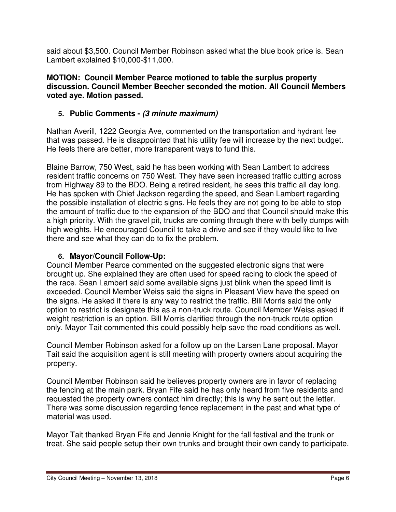said about \$3,500. Council Member Robinson asked what the blue book price is. Sean Lambert explained \$10,000-\$11,000.

### **MOTION: Council Member Pearce motioned to table the surplus property discussion. Council Member Beecher seconded the motion. All Council Members voted aye. Motion passed.**

# **5. Public Comments - (3 minute maximum)**

Nathan Averill, 1222 Georgia Ave, commented on the transportation and hydrant fee that was passed. He is disappointed that his utility fee will increase by the next budget. He feels there are better, more transparent ways to fund this.

Blaine Barrow, 750 West, said he has been working with Sean Lambert to address resident traffic concerns on 750 West. They have seen increased traffic cutting across from Highway 89 to the BDO. Being a retired resident, he sees this traffic all day long. He has spoken with Chief Jackson regarding the speed, and Sean Lambert regarding the possible installation of electric signs. He feels they are not going to be able to stop the amount of traffic due to the expansion of the BDO and that Council should make this a high priority. With the gravel pit, trucks are coming through there with belly dumps with high weights. He encouraged Council to take a drive and see if they would like to live there and see what they can do to fix the problem.

## **6. Mayor/Council Follow-Up:**

Council Member Pearce commented on the suggested electronic signs that were brought up. She explained they are often used for speed racing to clock the speed of the race. Sean Lambert said some available signs just blink when the speed limit is exceeded. Council Member Weiss said the signs in Pleasant View have the speed on the signs. He asked if there is any way to restrict the traffic. Bill Morris said the only option to restrict is designate this as a non-truck route. Council Member Weiss asked if weight restriction is an option. Bill Morris clarified through the non-truck route option only. Mayor Tait commented this could possibly help save the road conditions as well.

Council Member Robinson asked for a follow up on the Larsen Lane proposal. Mayor Tait said the acquisition agent is still meeting with property owners about acquiring the property.

Council Member Robinson said he believes property owners are in favor of replacing the fencing at the main park. Bryan Fife said he has only heard from five residents and requested the property owners contact him directly; this is why he sent out the letter. There was some discussion regarding fence replacement in the past and what type of material was used.

Mayor Tait thanked Bryan Fife and Jennie Knight for the fall festival and the trunk or treat. She said people setup their own trunks and brought their own candy to participate.